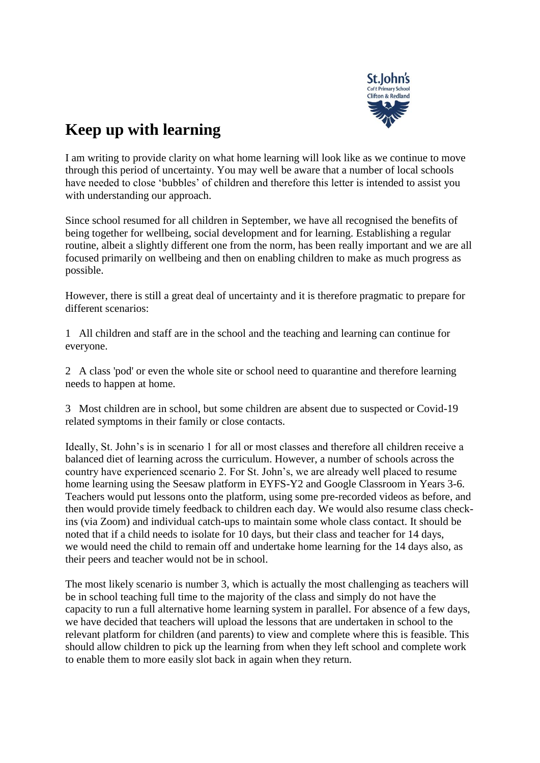

## **Keep up with learning**

I am writing to provide clarity on what home learning will look like as we continue to move through this period of uncertainty. You may well be aware that a number of local schools have needed to close 'bubbles' of children and therefore this letter is intended to assist you with understanding our approach.

Since school resumed for all children in September, we have all recognised the benefits of being together for wellbeing, social development and for learning. Establishing a regular routine, albeit a slightly different one from the norm, has been really important and we are all focused primarily on wellbeing and then on enabling children to make as much progress as possible.

However, there is still a great deal of uncertainty and it is therefore pragmatic to prepare for different scenarios:

1 All children and staff are in the school and the teaching and learning can continue for everyone.

2 A class 'pod' or even the whole site or school need to quarantine and therefore learning needs to happen at home.

3 Most children are in school, but some children are absent due to suspected or Covid-19 related symptoms in their family or close contacts.

Ideally, St. John's is in scenario 1 for all or most classes and therefore all children receive a balanced diet of learning across the curriculum. However, a number of schools across the country have experienced scenario 2. For St. John's, we are already well placed to resume home learning using the Seesaw platform in EYFS-Y2 and Google Classroom in Years 3-6. Teachers would put lessons onto the platform, using some pre-recorded videos as before, and then would provide timely feedback to children each day. We would also resume class checkins (via Zoom) and individual catch-ups to maintain some whole class contact. It should be noted that if a child needs to isolate for 10 days, but their class and teacher for 14 days, we would need the child to remain off and undertake home learning for the 14 days also, as their peers and teacher would not be in school.

The most likely scenario is number 3, which is actually the most challenging as teachers will be in school teaching full time to the majority of the class and simply do not have the capacity to run a full alternative home learning system in parallel. For absence of a few days, we have decided that teachers will upload the lessons that are undertaken in school to the relevant platform for children (and parents) to view and complete where this is feasible. This should allow children to pick up the learning from when they left school and complete work to enable them to more easily slot back in again when they return.